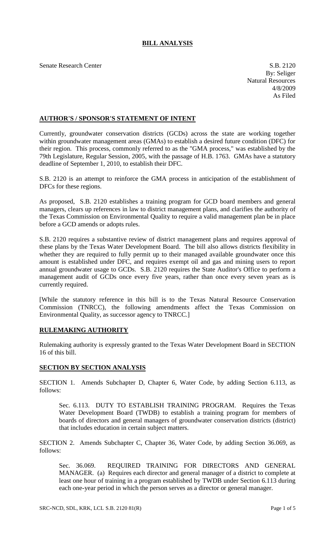## **BILL ANALYSIS**

Senate Research Center S.B. 2120

By: Seliger Natural Resources 4/8/2009 As Filed

## **AUTHOR'S / SPONSOR'S STATEMENT OF INTENT**

Currently, groundwater conservation districts (GCDs) across the state are working together within groundwater management areas (GMAs) to establish a desired future condition (DFC) for their region. This process, commonly referred to as the "GMA process," was established by the 79th Legislature, Regular Session, 2005, with the passage of H.B. 1763. GMAs have a statutory deadline of September 1, 2010, to establish their DFC.

S.B. 2120 is an attempt to reinforce the GMA process in anticipation of the establishment of DFCs for these regions.

As proposed, S.B. 2120 establishes a training program for GCD board members and general managers, clears up references in law to district management plans, and clarifies the authority of the Texas Commission on Environmental Quality to require a valid management plan be in place before a GCD amends or adopts rules.

S.B. 2120 requires a substantive review of district management plans and requires approval of these plans by the Texas Water Development Board. The bill also allows districts flexibility in whether they are required to fully permit up to their managed available groundwater once this amount is established under DFC, and requires exempt oil and gas and mining users to report annual groundwater usage to GCDs. S.B. 2120 requires the State Auditor's Office to perform a management audit of GCDs once every five years, rather than once every seven years as is currently required.

[While the statutory reference in this bill is to the Texas Natural Resource Conservation Commission (TNRCC), the following amendments affect the Texas Commission on Environmental Quality, as successor agency to TNRCC.]

## **RULEMAKING AUTHORITY**

Rulemaking authority is expressly granted to the Texas Water Development Board in SECTION 16 of this bill.

## **SECTION BY SECTION ANALYSIS**

SECTION 1. Amends Subchapter D, Chapter 6, Water Code, by adding Section 6.113, as follows:

Sec. 6.113. DUTY TO ESTABLISH TRAINING PROGRAM. Requires the Texas Water Development Board (TWDB) to establish a training program for members of boards of directors and general managers of groundwater conservation districts (district) that includes education in certain subject matters.

SECTION 2. Amends Subchapter C, Chapter 36, Water Code, by adding Section 36.069, as follows:

Sec. 36.069. REQUIRED TRAINING FOR DIRECTORS AND GENERAL MANAGER. (a) Requires each director and general manager of a district to complete at least one hour of training in a program established by TWDB under Section 6.113 during each one-year period in which the person serves as a director or general manager.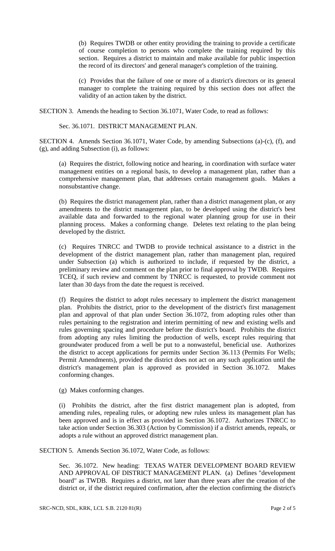(b) Requires TWDB or other entity providing the training to provide a certificate of course completion to persons who complete the training required by this section. Requires a district to maintain and make available for public inspection the record of its directors' and general manager's completion of the training.

(c) Provides that the failure of one or more of a district's directors or its general manager to complete the training required by this section does not affect the validity of an action taken by the district.

SECTION 3. Amends the heading to Section 36.1071, Water Code, to read as follows:

Sec. 36.1071. DISTRICT MANAGEMENT PLAN.

SECTION 4. Amends Section 36.1071, Water Code, by amending Subsections (a)-(c), (f), and (g), and adding Subsection (i), as follows:

(a) Requires the district, following notice and hearing, in coordination with surface water management entities on a regional basis, to develop a management plan, rather than a comprehensive management plan, that addresses certain management goals. Makes a nonsubstantive change.

(b) Requires the district management plan, rather than a district management plan, or any amendments to the district management plan, to be developed using the district's best available data and forwarded to the regional water planning group for use in their planning process. Makes a conforming change. Deletes text relating to the plan being developed by the district.

(c) Requires TNRCC and TWDB to provide technical assistance to a district in the development of the district management plan, rather than management plan, required under Subsection (a) which is authorized to include, if requested by the district, a preliminary review and comment on the plan prior to final approval by TWDB. Requires TCEQ, if such review and comment by TNRCC is requested, to provide comment not later than 30 days from the date the request is received.

(f) Requires the district to adopt rules necessary to implement the district management plan. Prohibits the district, prior to the development of the district's first management plan and approval of that plan under Section 36.1072, from adopting rules other than rules pertaining to the registration and interim permitting of new and existing wells and rules governing spacing and procedure before the district's board. Prohibits the district from adopting any rules limiting the production of wells, except rules requiring that groundwater produced from a well be put to a nonwasteful, beneficial use. Authorizes the district to accept applications for permits under Section 36.113 (Permits For Wells; Permit Amendments), provided the district does not act on any such application until the district's management plan is approved as provided in Section 36.1072. Makes conforming changes.

(g) Makes conforming changes.

(i) Prohibits the district, after the first district management plan is adopted, from amending rules, repealing rules, or adopting new rules unless its management plan has been approved and is in effect as provided in Section 36.1072. Authorizes TNRCC to take action under Section 36.303 (Action by Commission) if a district amends, repeals, or adopts a rule without an approved district management plan.

SECTION 5. Amends Section 36.1072, Water Code, as follows:

Sec. 36.1072. New heading: TEXAS WATER DEVELOPMENT BOARD REVIEW AND APPROVAL OF DISTRICT MANAGEMENT PLAN. (a) Defines "development board" as TWDB. Requires a district, not later than three years after the creation of the district or, if the district required confirmation, after the election confirming the district's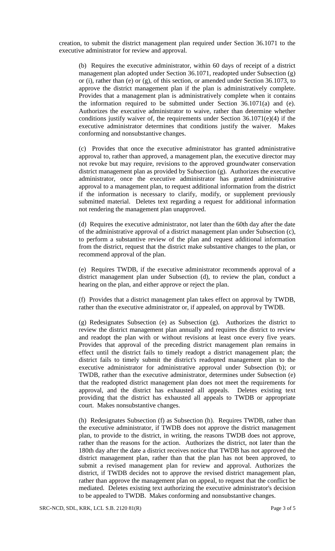creation, to submit the district management plan required under Section 36.1071 to the executive administrator for review and approval.

(b) Requires the executive administrator, within 60 days of receipt of a district management plan adopted under Section 36.1071, readopted under Subsection (g) or (i), rather than (e) or  $(g)$ , of this section, or amended under Section 36.1073, to approve the district management plan if the plan is administratively complete. Provides that a management plan is administratively complete when it contains the information required to be submitted under Section 36.1071(a) and (e). Authorizes the executive administrator to waive, rather than determine whether conditions justify waiver of, the requirements under Section 36.1071(e)(4) if the executive administrator determines that conditions justify the waiver. Makes conforming and nonsubstantive changes.

(c) Provides that once the executive administrator has granted administrative approval to, rather than approved, a management plan, the executive director may not revoke but may require, revisions to the approved groundwater conservation district management plan as provided by Subsection (g). Authorizes the executive administrator, once the executive administrator has granted administrative approval to a management plan, to request additional information from the district if the information is necessary to clarify, modify, or supplement previously submitted material. Deletes text regarding a request for additional information not rendering the management plan unapproved.

(d) Requires the executive administrator, not later than the 60th day after the date of the administrative approval of a district management plan under Subsection (c), to perform a substantive review of the plan and request additional information from the district, request that the district make substantive changes to the plan, or recommend approval of the plan.

(e) Requires TWDB, if the executive administrator recommends approval of a district management plan under Subsection (d), to review the plan, conduct a hearing on the plan, and either approve or reject the plan.

(f) Provides that a district management plan takes effect on approval by TWDB, rather than the executive administrator or, if appealed, on approval by TWDB.

(g) Redesignates Subsection (e) as Subsection (g). Authorizes the district to review the district management plan annually and requires the district to review and readopt the plan with or without revisions at least once every five years. Provides that approval of the preceding district management plan remains in effect until the district fails to timely readopt a district management plan; the district fails to timely submit the district's readopted management plan to the executive administrator for administrative approval under Subsection (b); or TWDB, rather than the executive administrator, determines under Subsection (e) that the readopted district management plan does not meet the requirements for approval, and the district has exhausted all appeals. Deletes existing text providing that the district has exhausted all appeals to TWDB or appropriate court. Makes nonsubstantive changes.

(h) Redesignates Subsection (f) as Subsection (h). Requires TWDB, rather than the executive administrator, if TWDB does not approve the district management plan, to provide to the district, in writing, the reasons TWDB does not approve, rather than the reasons for the action. Authorizes the district, not later than the 180th day after the date a district receives notice that TWDB has not approved the district management plan, rather than that the plan has not been approved, to submit a revised management plan for review and approval. Authorizes the district, if TWDB decides not to approve the revised district management plan, rather than approve the management plan on appeal, to request that the conflict be mediated. Deletes existing text authorizing the executive administrator's decision to be appealed to TWDB. Makes conforming and nonsubstantive changes.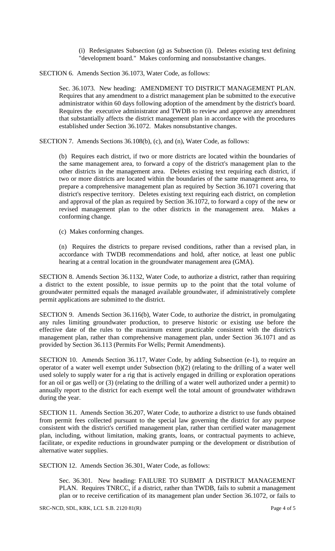(i) Redesignates Subsection (g) as Subsection (i). Deletes existing text defining "development board." Makes conforming and nonsubstantive changes.

SECTION 6. Amends Section 36.1073, Water Code, as follows:

Sec. 36.1073. New heading: AMENDMENT TO DISTRICT MANAGEMENT PLAN. Requires that any amendment to a district management plan be submitted to the executive administrator within 60 days following adoption of the amendment by the district's board. Requires the executive administrator and TWDB to review and approve any amendment that substantially affects the district management plan in accordance with the procedures established under Section 36.1072. Makes nonsubstantive changes.

SECTION 7. Amends Sections 36.108(b), (c), and (n), Water Code, as follows:

(b) Requires each district, if two or more districts are located within the boundaries of the same management area, to forward a copy of the district's management plan to the other districts in the management area. Deletes existing text requiring each district, if two or more districts are located within the boundaries of the same management area, to prepare a comprehensive management plan as required by Section 36.1071 covering that district's respective territory. Deletes existing text requiring each district, on completion and approval of the plan as required by Section 36.1072, to forward a copy of the new or revised management plan to the other districts in the management area. Makes a conforming change.

(c) Makes conforming changes.

(n) Requires the districts to prepare revised conditions, rather than a revised plan, in accordance with TWDB recommendations and hold, after notice, at least one public hearing at a central location in the groundwater management area (GMA).

SECTION 8. Amends Section 36.1132, Water Code, to authorize a district, rather than requiring a district to the extent possible, to issue permits up to the point that the total volume of groundwater permitted equals the managed available groundwater, if administratively complete permit applications are submitted to the district.

SECTION 9. Amends Section 36.116(b), Water Code, to authorize the district, in promulgating any rules limiting groundwater production, to preserve historic or existing use before the effective date of the rules to the maximum extent practicable consistent with the district's management plan, rather than comprehensive management plan, under Section 36.1071 and as provided by Section 36.113 (Permits For Wells; Permit Amendments).

SECTION 10. Amends Section 36.117, Water Code, by adding Subsection (e-1), to require an operator of a water well exempt under Subsection (b)(2) (relating to the drilling of a water well used solely to supply water for a rig that is actively engaged in drilling or exploration operations for an oil or gas well) or (3) (relating to the drilling of a water well authorized under a permit) to annually report to the district for each exempt well the total amount of groundwater withdrawn during the year.

SECTION 11. Amends Section 36.207, Water Code, to authorize a district to use funds obtained from permit fees collected pursuant to the special law governing the district for any purpose consistent with the district's certified management plan, rather than certified water management plan, including, without limitation, making grants, loans, or contractual payments to achieve, facilitate, or expedite reductions in groundwater pumping or the development or distribution of alternative water supplies.

SECTION 12. Amends Section 36.301, Water Code, as follows:

Sec. 36.301. New heading: FAILURE TO SUBMIT A DISTRICT MANAGEMENT PLAN. Requires TNRCC, if a district, rather than TWDB, fails to submit a management plan or to receive certification of its management plan under Section 36.1072, or fails to

SRC-NCD, SDL, KRK, LCL S.B. 2120 81(R) Page 4 of 5